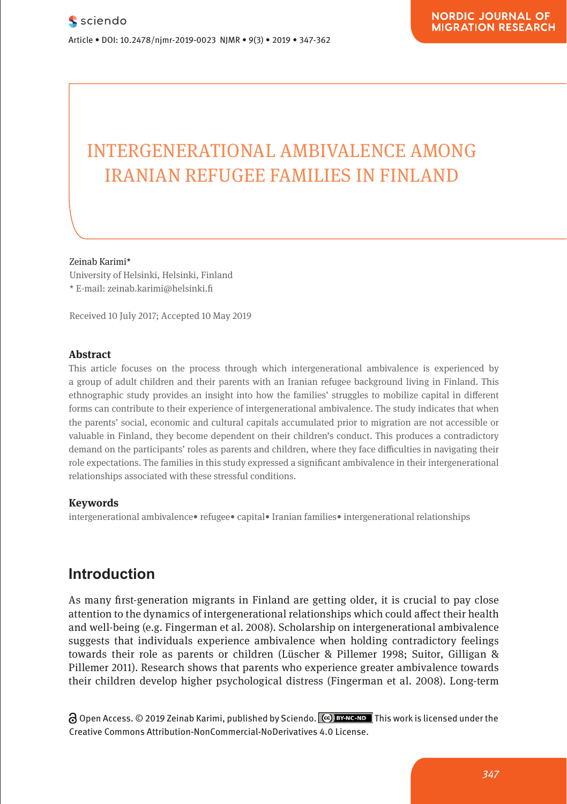# INTERGENERATIONAL AMBIVALENCE AMONG IRANIAN REFUGEE FAMILIES IN FINLAND

#### Zeinab Karimi\*

University of Helsinki, Helsinki, Finland \* E-mail: zeinab.karimi@helsinki.fi

Received 10 July 2017; Accepted 10 May 2019

### **Abstract**

This article focuses on the process through which intergenerational ambivalence is experienced by a group of adult children and their parents with an Iranian refugee background living in Finland. This ethnographic study provides an insight into how the families' struggles to mobilize capital in different forms can contribute to their experience of intergenerational ambivalence. The study indicates that when the parents' social, economic and cultural capitals accumulated prior to migration are not accessible or valuable in Finland, they become dependent on their children's conduct. This produces a contradictory demand on the participants' roles as parents and children, where they face difficulties in navigating their role expectations. The families in this study expressed a significant ambivalence in their intergenerational relationships associated with these stressful conditions.

### **Keywords**

intergenerational ambivalence• refugee• capital• Iranian families• intergenerational relationships

# **Introduction**

As many first-generation migrants in Finland are getting older, it is crucial to pay close attention to the dynamics of intergenerational relationships which could affect their health and well-being (e.g. Fingerman et al. 2008). Scholarship on intergenerational ambivalence suggests that individuals experience ambivalence when holding contradictory feelings towards their role as parents or children (Lüscher & Pillemer 1998; Suitor, Gilligan & Pillemer 2011). Research shows that parents who experience greater ambivalence towards their children develop higher psychological distress (Fingerman et al. 2008). Long-term

Open Access. © 2019 Zeinab Karimi, published by Sciendo. This work is licensed under the Creative Commons Attribution-NonCommercial-NoDerivatives 4.0 License.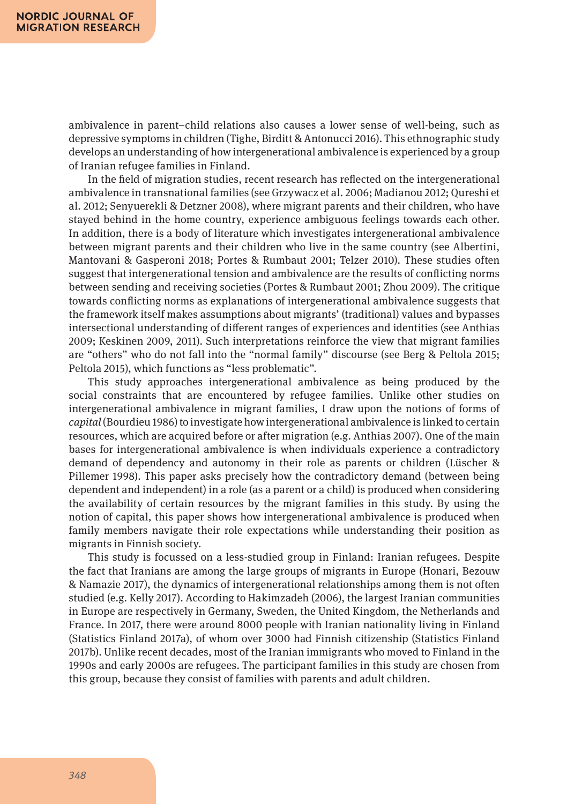ambivalence in parent–child relations also causes a lower sense of well-being, such as depressive symptoms in children (Tighe, Birditt & Antonucci 2016). This ethnographic study develops an understanding of how intergenerational ambivalence is experienced by a group of Iranian refugee families in Finland.

In the field of migration studies, recent research has reflected on the intergenerational ambivalence in transnational families (see Grzywacz et al. 2006; Madianou 2012; Qureshi et al. 2012; Senyuerekli & Detzner 2008), where migrant parents and their children, who have stayed behind in the home country, experience ambiguous feelings towards each other. In addition, there is a body of literature which investigates intergenerational ambivalence between migrant parents and their children who live in the same country (see Albertini, Mantovani & Gasperoni 2018; Portes & Rumbaut 2001; Telzer 2010). These studies often suggest that intergenerational tension and ambivalence are the results of conflicting norms between sending and receiving societies (Portes & Rumbaut 2001; Zhou 2009). The critique towards conflicting norms as explanations of intergenerational ambivalence suggests that the framework itself makes assumptions about migrants' (traditional) values and bypasses intersectional understanding of different ranges of experiences and identities (see Anthias 2009; Keskinen 2009, 2011). Such interpretations reinforce the view that migrant families are "others" who do not fall into the "normal family" discourse (see Berg & Peltola 2015; Peltola 2015), which functions as "less problematic".

This study approaches intergenerational ambivalence as being produced by the social constraints that are encountered by refugee families. Unlike other studies on intergenerational ambivalence in migrant families, I draw upon the notions of forms of *capital* (Bourdieu 1986) to investigate how intergenerational ambivalence is linked to certain resources, which are acquired before or after migration (e.g. Anthias 2007). One of the main bases for intergenerational ambivalence is when individuals experience a contradictory demand of dependency and autonomy in their role as parents or children (Lüscher & Pillemer 1998). This paper asks precisely how the contradictory demand (between being dependent and independent) in a role (as a parent or a child) is produced when considering the availability of certain resources by the migrant families in this study. By using the notion of capital, this paper shows how intergenerational ambivalence is produced when family members navigate their role expectations while understanding their position as migrants in Finnish society.

This study is focussed on a less-studied group in Finland: Iranian refugees. Despite the fact that Iranians are among the large groups of migrants in Europe (Honari, Bezouw & Namazie 2017), the dynamics of intergenerational relationships among them is not often studied (e.g. Kelly 2017). According to Hakimzadeh (2006), the largest Iranian communities in Europe are respectively in Germany, Sweden, the United Kingdom, the Netherlands and France. In 2017, there were around 8000 people with Iranian nationality living in Finland (Statistics Finland 2017a), of whom over 3000 had Finnish citizenship (Statistics Finland 2017b). Unlike recent decades, most of the Iranian immigrants who moved to Finland in the 1990s and early 2000s are refugees. The participant families in this study are chosen from this group, because they consist of families with parents and adult children.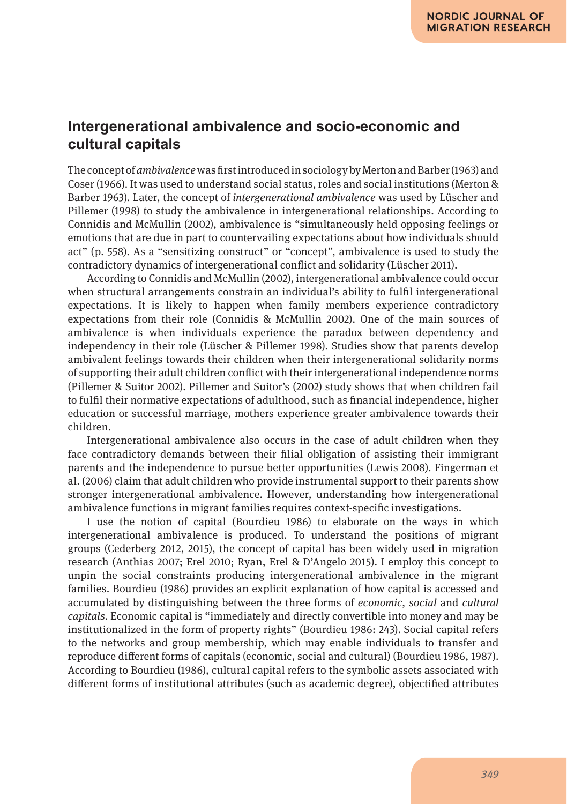# **Intergenerational ambivalence and socio-economic and cultural capitals**

The concept of *ambivalence* was first introduced in sociology by Merton and Barber (1963) and Coser (1966). It was used to understand social status, roles and social institutions (Merton & Barber 1963). Later, the concept of *intergenerational ambivalence* was used by Lüscher and Pillemer (1998) to study the ambivalence in intergenerational relationships. According to Connidis and McMullin (2002), ambivalence is "simultaneously held opposing feelings or emotions that are due in part to countervailing expectations about how individuals should act" (p. 558). As a "sensitizing construct" or "concept", ambivalence is used to study the contradictory dynamics of intergenerational conflict and solidarity (Lüscher 2011).

According to Connidis and McMullin (2002), intergenerational ambivalence could occur when structural arrangements constrain an individual's ability to fulfil intergenerational expectations. It is likely to happen when family members experience contradictory expectations from their role (Connidis & McMullin 2002). One of the main sources of ambivalence is when individuals experience the paradox between dependency and independency in their role (Lüscher & Pillemer 1998). Studies show that parents develop ambivalent feelings towards their children when their intergenerational solidarity norms of supporting their adult children conflict with their intergenerational independence norms (Pillemer & Suitor 2002). Pillemer and Suitor's (2002) study shows that when children fail to fulfil their normative expectations of adulthood, such as financial independence, higher education or successful marriage, mothers experience greater ambivalence towards their children.

Intergenerational ambivalence also occurs in the case of adult children when they face contradictory demands between their filial obligation of assisting their immigrant parents and the independence to pursue better opportunities (Lewis 2008). Fingerman et al. (2006) claim that adult children who provide instrumental support to their parents show stronger intergenerational ambivalence. However, understanding how intergenerational ambivalence functions in migrant families requires context-specific investigations.

I use the notion of capital (Bourdieu 1986) to elaborate on the ways in which intergenerational ambivalence is produced. To understand the positions of migrant groups (Cederberg 2012, 2015), the concept of capital has been widely used in migration research (Anthias 2007; Erel 2010; Ryan, Erel & D'Angelo 2015). I employ this concept to unpin the social constraints producing intergenerational ambivalence in the migrant families. Bourdieu (1986) provides an explicit explanation of how capital is accessed and accumulated by distinguishing between the three forms of *economic*, *social* and *cultural capitals*. Economic capital is "immediately and directly convertible into money and may be institutionalized in the form of property rights" (Bourdieu 1986: 243). Social capital refers to the networks and group membership, which may enable individuals to transfer and reproduce different forms of capitals (economic, social and cultural) (Bourdieu 1986, 1987). According to Bourdieu (1986), cultural capital refers to the symbolic assets associated with different forms of institutional attributes (such as academic degree), objectified attributes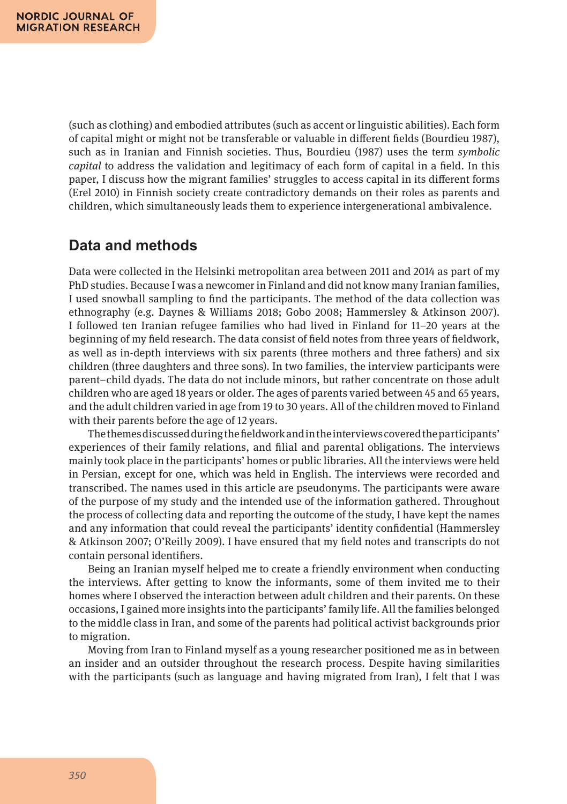(such as clothing) and embodied attributes (such as accent or linguistic abilities). Each form of capital might or might not be transferable or valuable in different fields (Bourdieu 1987), such as in Iranian and Finnish societies. Thus, Bourdieu (1987) uses the term *symbolic capital* to address the validation and legitimacy of each form of capital in a field. In this paper, I discuss how the migrant families' struggles to access capital in its different forms (Erel 2010) in Finnish society create contradictory demands on their roles as parents and children, which simultaneously leads them to experience intergenerational ambivalence.

## **Data and methods**

Data were collected in the Helsinki metropolitan area between 2011 and 2014 as part of my PhD studies. Because I was a newcomer in Finland and did not know many Iranian families, I used snowball sampling to find the participants. The method of the data collection was ethnography (e.g. Daynes & Williams 2018; Gobo 2008; Hammersley & Atkinson 2007). I followed ten Iranian refugee families who had lived in Finland for 11–20 years at the beginning of my field research. The data consist of field notes from three years of fieldwork, as well as in-depth interviews with six parents (three mothers and three fathers) and six children (three daughters and three sons). In two families, the interview participants were parent–child dyads. The data do not include minors, but rather concentrate on those adult children who are aged 18 years or older. The ages of parents varied between 45 and 65 years, and the adult children varied in age from 19 to 30 years. All of the children moved to Finland with their parents before the age of 12 years.

The themes discussed during the fieldwork and in the interviews covered the participants' experiences of their family relations, and filial and parental obligations. The interviews mainly took place in the participants' homes or public libraries. All the interviews were held in Persian, except for one, which was held in English. The interviews were recorded and transcribed. The names used in this article are pseudonyms. The participants were aware of the purpose of my study and the intended use of the information gathered. Throughout the process of collecting data and reporting the outcome of the study, I have kept the names and any information that could reveal the participants' identity confidential (Hammersley & Atkinson 2007; O'Reilly 2009). I have ensured that my field notes and transcripts do not contain personal identifiers.

Being an Iranian myself helped me to create a friendly environment when conducting the interviews. After getting to know the informants, some of them invited me to their homes where I observed the interaction between adult children and their parents. On these occasions, I gained more insights into the participants' family life. All the families belonged to the middle class in Iran, and some of the parents had political activist backgrounds prior to migration.

Moving from Iran to Finland myself as a young researcher positioned me as in between an insider and an outsider throughout the research process. Despite having similarities with the participants (such as language and having migrated from Iran), I felt that I was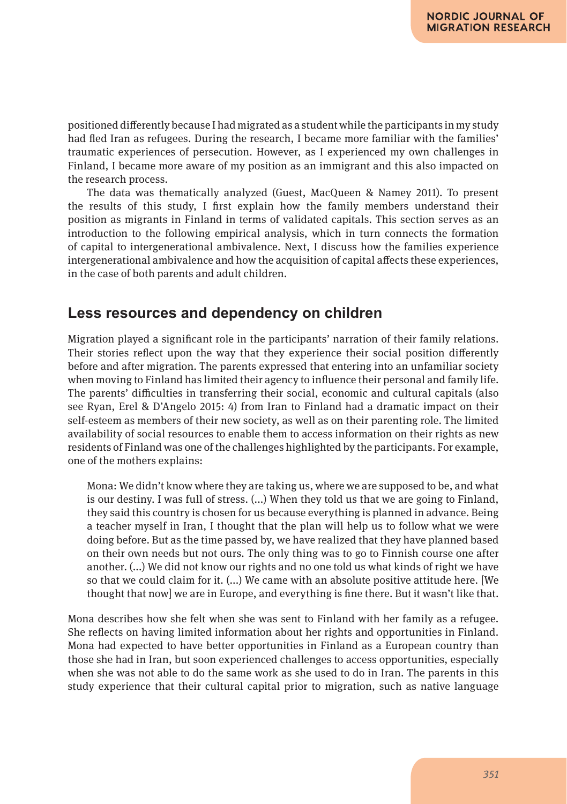positioned differently because I had migrated as a student while the participants in my study had fled Iran as refugees. During the research, I became more familiar with the families' traumatic experiences of persecution. However, as I experienced my own challenges in Finland, I became more aware of my position as an immigrant and this also impacted on the research process.

The data was thematically analyzed (Guest, MacQueen & Namey 2011). To present the results of this study, I first explain how the family members understand their position as migrants in Finland in terms of validated capitals. This section serves as an introduction to the following empirical analysis, which in turn connects the formation of capital to intergenerational ambivalence. Next, I discuss how the families experience intergenerational ambivalence and how the acquisition of capital affects these experiences, in the case of both parents and adult children.

# **Less resources and dependency on children**

Migration played a significant role in the participants' narration of their family relations. Their stories reflect upon the way that they experience their social position differently before and after migration. The parents expressed that entering into an unfamiliar society when moving to Finland has limited their agency to influence their personal and family life. The parents' difficulties in transferring their social, economic and cultural capitals (also see Ryan, Erel & D'Angelo 2015: 4) from Iran to Finland had a dramatic impact on their self-esteem as members of their new society, as well as on their parenting role. The limited availability of social resources to enable them to access information on their rights as new residents of Finland was one of the challenges highlighted by the participants. For example, one of the mothers explains:

Mona: We didn't know where they are taking us, where we are supposed to be, and what is our destiny. I was full of stress. (...) When they told us that we are going to Finland, they said this country is chosen for us because everything is planned in advance. Being a teacher myself in Iran, I thought that the plan will help us to follow what we were doing before. But as the time passed by, we have realized that they have planned based on their own needs but not ours. The only thing was to go to Finnish course one after another. (...) We did not know our rights and no one told us what kinds of right we have so that we could claim for it. (...) We came with an absolute positive attitude here. [We thought that now] we are in Europe, and everything is fine there. But it wasn't like that.

Mona describes how she felt when she was sent to Finland with her family as a refugee. She reflects on having limited information about her rights and opportunities in Finland. Mona had expected to have better opportunities in Finland as a European country than those she had in Iran, but soon experienced challenges to access opportunities, especially when she was not able to do the same work as she used to do in Iran. The parents in this study experience that their cultural capital prior to migration, such as native language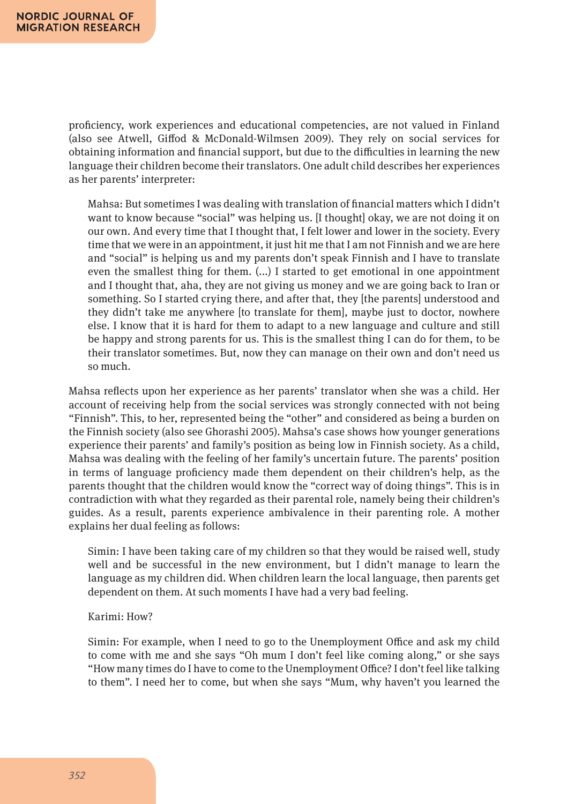proficiency, work experiences and educational competencies, are not valued in Finland (also see Atwell, Giffod & McDonald-Wilmsen 2009). They rely on social services for obtaining information and financial support, but due to the difficulties in learning the new language their children become their translators. One adult child describes her experiences as her parents' interpreter:

Mahsa: But sometimes I was dealing with translation of financial matters which I didn't want to know because "social" was helping us. [I thought] okay, we are not doing it on our own. And every time that I thought that, I felt lower and lower in the society. Every time that we were in an appointment, it just hit me that I am not Finnish and we are here and "social" is helping us and my parents don't speak Finnish and I have to translate even the smallest thing for them. (...) I started to get emotional in one appointment and I thought that, aha, they are not giving us money and we are going back to Iran or something. So I started crying there, and after that, they [the parents] understood and they didn't take me anywhere [to translate for them], maybe just to doctor, nowhere else. I know that it is hard for them to adapt to a new language and culture and still be happy and strong parents for us. This is the smallest thing I can do for them, to be their translator sometimes. But, now they can manage on their own and don't need us so much.

Mahsa reflects upon her experience as her parents' translator when she was a child. Her account of receiving help from the social services was strongly connected with not being "Finnish". This, to her, represented being the "other" and considered as being a burden on the Finnish society (also see Ghorashi 2005). Mahsa's case shows how younger generations experience their parents' and family's position as being low in Finnish society. As a child, Mahsa was dealing with the feeling of her family's uncertain future. The parents' position in terms of language proficiency made them dependent on their children's help, as the parents thought that the children would know the "correct way of doing things". This is in contradiction with what they regarded as their parental role, namely being their children's guides. As a result, parents experience ambivalence in their parenting role. A mother explains her dual feeling as follows:

Simin: I have been taking care of my children so that they would be raised well, study well and be successful in the new environment, but I didn't manage to learn the language as my children did. When children learn the local language, then parents get dependent on them. At such moments I have had a very bad feeling.

#### Karimi: How?

Simin: For example, when I need to go to the Unemployment Office and ask my child to come with me and she says "Oh mum I don't feel like coming along," or she says "How many times do I have to come to the Unemployment Office? I don't feel like talking to them". I need her to come, but when she says "Mum, why haven't you learned the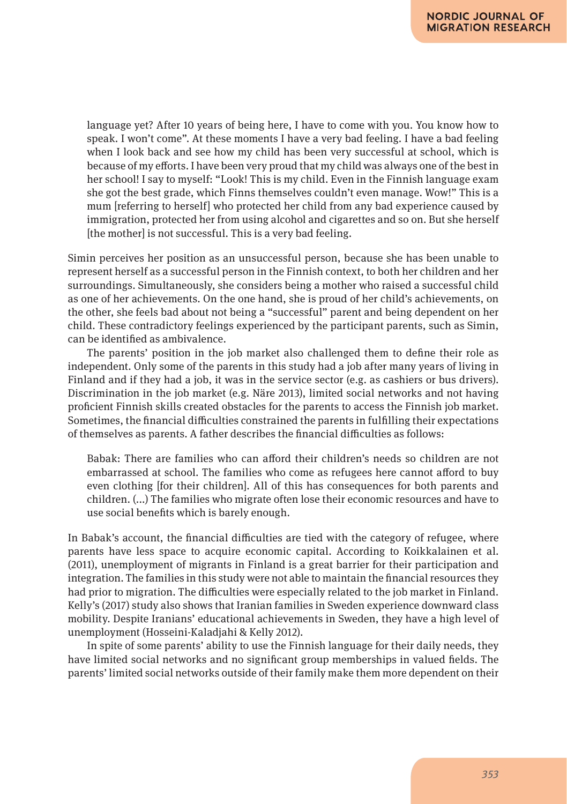language yet? After 10 years of being here, I have to come with you. You know how to speak. I won't come". At these moments I have a very bad feeling. I have a bad feeling when I look back and see how my child has been very successful at school, which is because of my efforts. I have been very proud that my child was always one of the best in her school! I say to myself: "Look! This is my child. Even in the Finnish language exam she got the best grade, which Finns themselves couldn't even manage. Wow!" This is a mum [referring to herself] who protected her child from any bad experience caused by immigration, protected her from using alcohol and cigarettes and so on. But she herself [the mother] is not successful. This is a very bad feeling.

Simin perceives her position as an unsuccessful person, because she has been unable to represent herself as a successful person in the Finnish context, to both her children and her surroundings. Simultaneously, she considers being a mother who raised a successful child as one of her achievements. On the one hand, she is proud of her child's achievements, on the other, she feels bad about not being a "successful" parent and being dependent on her child. These contradictory feelings experienced by the participant parents, such as Simin, can be identified as ambivalence.

The parents' position in the job market also challenged them to define their role as independent. Only some of the parents in this study had a job after many years of living in Finland and if they had a job, it was in the service sector (e.g. as cashiers or bus drivers). Discrimination in the job market (e.g. Näre 2013), limited social networks and not having proficient Finnish skills created obstacles for the parents to access the Finnish job market. Sometimes, the financial difficulties constrained the parents in fulfilling their expectations of themselves as parents. A father describes the financial difficulties as follows:

Babak: There are families who can afford their children's needs so children are not embarrassed at school. The families who come as refugees here cannot afford to buy even clothing [for their children]. All of this has consequences for both parents and children. (...) The families who migrate often lose their economic resources and have to use social benefits which is barely enough.

In Babak's account, the financial difficulties are tied with the category of refugee, where parents have less space to acquire economic capital. According to Koikkalainen et al. (2011), unemployment of migrants in Finland is a great barrier for their participation and integration. The families in this study were not able to maintain the financial resources they had prior to migration. The difficulties were especially related to the job market in Finland. Kelly's (2017) study also shows that Iranian families in Sweden experience downward class mobility. Despite Iranians' educational achievements in Sweden, they have a high level of unemployment (Hosseini-Kaladjahi & Kelly 2012).

In spite of some parents' ability to use the Finnish language for their daily needs, they have limited social networks and no significant group memberships in valued fields. The parents' limited social networks outside of their family make them more dependent on their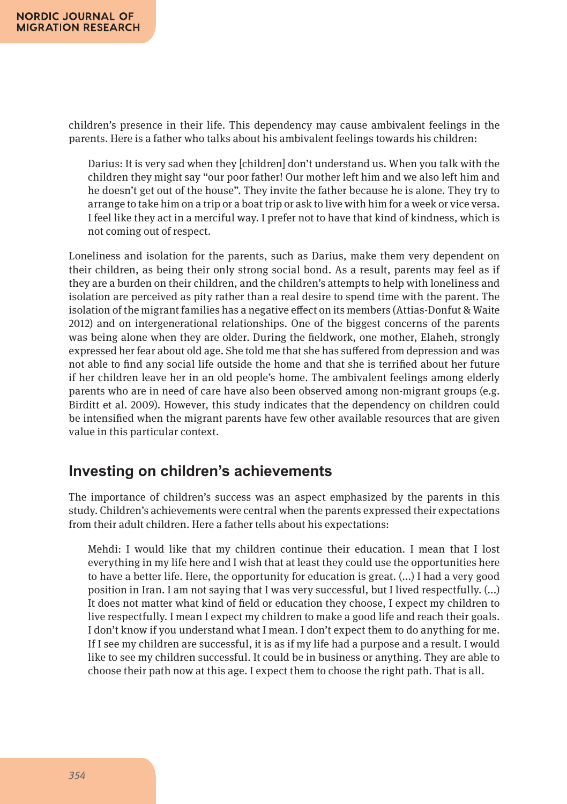children's presence in their life. This dependency may cause ambivalent feelings in the parents. Here is a father who talks about his ambivalent feelings towards his children:

Darius: It is very sad when they [children] don't understand us. When you talk with the children they might say "our poor father! Our mother left him and we also left him and he doesn't get out of the house". They invite the father because he is alone. They try to arrange to take him on a trip or a boat trip or ask to live with him for a week or vice versa. I feel like they act in a merciful way. I prefer not to have that kind of kindness, which is not coming out of respect.

Loneliness and isolation for the parents, such as Darius, make them very dependent on their children, as being their only strong social bond. As a result, parents may feel as if they are a burden on their children, and the children's attempts to help with loneliness and isolation are perceived as pity rather than a real desire to spend time with the parent. The isolation of the migrant families has a negative effect on its members (Attias-Donfut & Waite 2012) and on intergenerational relationships. One of the biggest concerns of the parents was being alone when they are older. During the fieldwork, one mother, Elaheh, strongly expressed her fear about old age. She told me that she has suffered from depression and was not able to find any social life outside the home and that she is terrified about her future if her children leave her in an old people's home. The ambivalent feelings among elderly parents who are in need of care have also been observed among non-migrant groups (e.g. Birditt et al. 2009). However, this study indicates that the dependency on children could be intensified when the migrant parents have few other available resources that are given value in this particular context.

## **Investing on children's achievements**

The importance of children's success was an aspect emphasized by the parents in this study. Children's achievements were central when the parents expressed their expectations from their adult children. Here a father tells about his expectations:

Mehdi: I would like that my children continue their education. I mean that I lost everything in my life here and I wish that at least they could use the opportunities here to have a better life. Here, the opportunity for education is great. (...) I had a very good position in Iran. I am not saying that I was very successful, but I lived respectfully. (...) It does not matter what kind of field or education they choose, I expect my children to live respectfully. I mean I expect my children to make a good life and reach their goals. I don't know if you understand what I mean. I don't expect them to do anything for me. If I see my children are successful, it is as if my life had a purpose and a result. I would like to see my children successful. It could be in business or anything. They are able to choose their path now at this age. I expect them to choose the right path. That is all.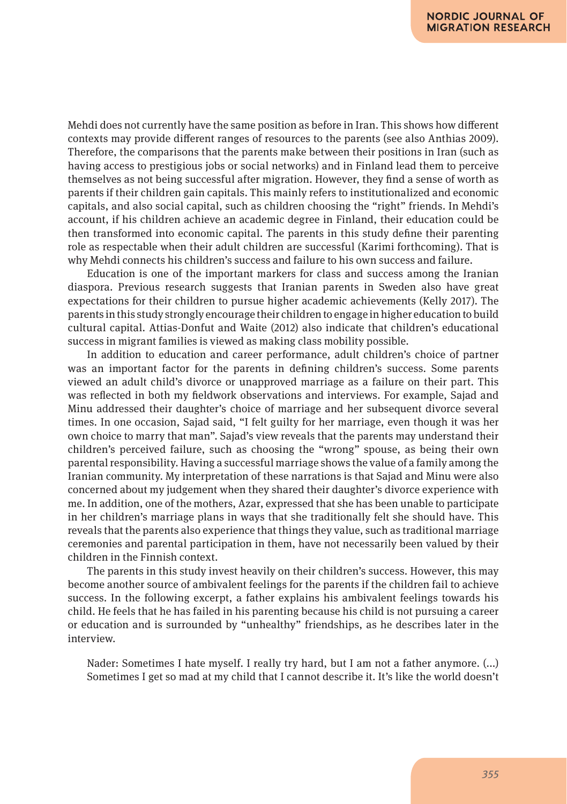Mehdi does not currently have the same position as before in Iran. This shows how different contexts may provide different ranges of resources to the parents (see also Anthias 2009). Therefore, the comparisons that the parents make between their positions in Iran (such as having access to prestigious jobs or social networks) and in Finland lead them to perceive themselves as not being successful after migration. However, they find a sense of worth as parents if their children gain capitals. This mainly refers to institutionalized and economic capitals, and also social capital, such as children choosing the "right" friends. In Mehdi's account, if his children achieve an academic degree in Finland, their education could be then transformed into economic capital. The parents in this study define their parenting role as respectable when their adult children are successful (Karimi forthcoming). That is why Mehdi connects his children's success and failure to his own success and failure.

Education is one of the important markers for class and success among the Iranian diaspora. Previous research suggests that Iranian parents in Sweden also have great expectations for their children to pursue higher academic achievements (Kelly 2017). The parents in this study strongly encourage their children to engage in higher education to build cultural capital. Attias-Donfut and Waite (2012) also indicate that children's educational success in migrant families is viewed as making class mobility possible.

In addition to education and career performance, adult children's choice of partner was an important factor for the parents in defining children's success. Some parents viewed an adult child's divorce or unapproved marriage as a failure on their part. This was reflected in both my fieldwork observations and interviews. For example, Sajad and Minu addressed their daughter's choice of marriage and her subsequent divorce several times. In one occasion, Sajad said, "I felt guilty for her marriage, even though it was her own choice to marry that man". Sajad's view reveals that the parents may understand their children's perceived failure, such as choosing the "wrong" spouse, as being their own parental responsibility. Having a successful marriage shows the value of a family among the Iranian community. My interpretation of these narrations is that Sajad and Minu were also concerned about my judgement when they shared their daughter's divorce experience with me. In addition, one of the mothers, Azar, expressed that she has been unable to participate in her children's marriage plans in ways that she traditionally felt she should have. This reveals that the parents also experience that things they value, such as traditional marriage ceremonies and parental participation in them, have not necessarily been valued by their children in the Finnish context.

The parents in this study invest heavily on their children's success. However, this may become another source of ambivalent feelings for the parents if the children fail to achieve success. In the following excerpt, a father explains his ambivalent feelings towards his child. He feels that he has failed in his parenting because his child is not pursuing a career or education and is surrounded by "unhealthy" friendships, as he describes later in the interview.

Nader: Sometimes I hate myself. I really try hard, but I am not a father anymore. (...) Sometimes I get so mad at my child that I cannot describe it. It's like the world doesn't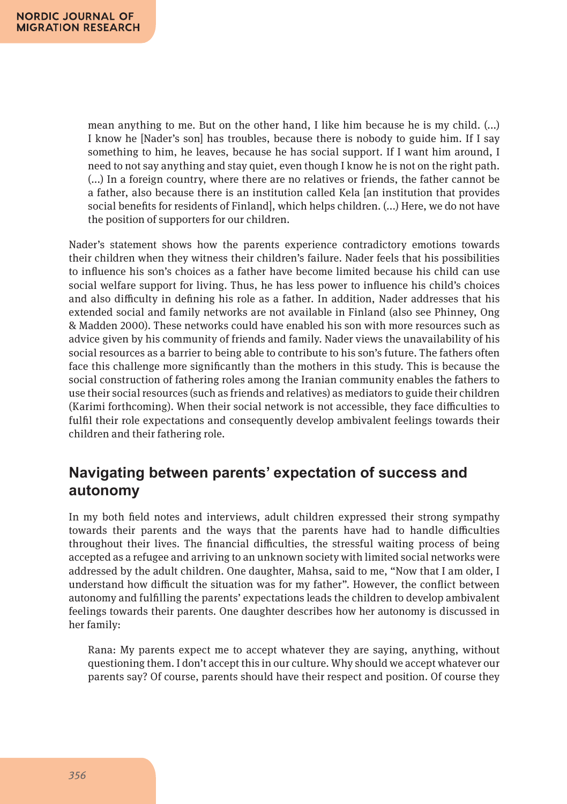mean anything to me. But on the other hand, I like him because he is my child. (...) I know he [Nader's son] has troubles, because there is nobody to guide him. If I say something to him, he leaves, because he has social support. If I want him around, I need to not say anything and stay quiet, even though I know he is not on the right path. (...) In a foreign country, where there are no relatives or friends, the father cannot be a father, also because there is an institution called Kela [an institution that provides social benefits for residents of Finland], which helps children. (...) Here, we do not have the position of supporters for our children.

Nader's statement shows how the parents experience contradictory emotions towards their children when they witness their children's failure. Nader feels that his possibilities to influence his son's choices as a father have become limited because his child can use social welfare support for living. Thus, he has less power to influence his child's choices and also difficulty in defining his role as a father. In addition, Nader addresses that his extended social and family networks are not available in Finland (also see Phinney, Ong & Madden 2000). These networks could have enabled his son with more resources such as advice given by his community of friends and family. Nader views the unavailability of his social resources as a barrier to being able to contribute to his son's future. The fathers often face this challenge more significantly than the mothers in this study. This is because the social construction of fathering roles among the Iranian community enables the fathers to use their social resources (such as friends and relatives) as mediators to guide their children (Karimi forthcoming). When their social network is not accessible, they face difficulties to fulfil their role expectations and consequently develop ambivalent feelings towards their children and their fathering role.

# **Navigating between parents' expectation of success and autonomy**

In my both field notes and interviews, adult children expressed their strong sympathy towards their parents and the ways that the parents have had to handle difficulties throughout their lives. The financial difficulties, the stressful waiting process of being accepted as a refugee and arriving to an unknown society with limited social networks were addressed by the adult children. One daughter, Mahsa, said to me, "Now that I am older, I understand how difficult the situation was for my father". However, the conflict between autonomy and fulfilling the parents' expectations leads the children to develop ambivalent feelings towards their parents. One daughter describes how her autonomy is discussed in her family:

Rana: My parents expect me to accept whatever they are saying, anything, without questioning them. I don't accept this in our culture. Why should we accept whatever our parents say? Of course, parents should have their respect and position. Of course they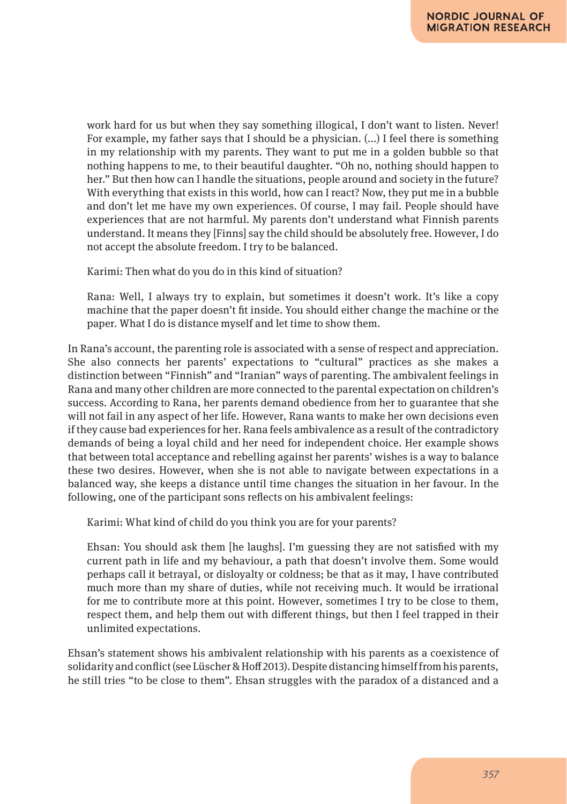work hard for us but when they say something illogical, I don't want to listen. Never! For example, my father says that I should be a physician. (...) I feel there is something in my relationship with my parents. They want to put me in a golden bubble so that nothing happens to me, to their beautiful daughter. "Oh no, nothing should happen to her." But then how can I handle the situations, people around and society in the future? With everything that exists in this world, how can I react? Now, they put me in a bubble and don't let me have my own experiences. Of course, I may fail. People should have experiences that are not harmful. My parents don't understand what Finnish parents understand. It means they [Finns] say the child should be absolutely free. However, I do not accept the absolute freedom. I try to be balanced.

Karimi: Then what do you do in this kind of situation?

Rana: Well, I always try to explain, but sometimes it doesn't work. It's like a copy machine that the paper doesn't fit inside. You should either change the machine or the paper. What I do is distance myself and let time to show them.

In Rana's account, the parenting role is associated with a sense of respect and appreciation. She also connects her parents' expectations to "cultural" practices as she makes a distinction between "Finnish" and "Iranian" ways of parenting. The ambivalent feelings in Rana and many other children are more connected to the parental expectation on children's success. According to Rana, her parents demand obedience from her to guarantee that she will not fail in any aspect of her life. However, Rana wants to make her own decisions even if they cause bad experiences for her. Rana feels ambivalence as a result of the contradictory demands of being a loyal child and her need for independent choice. Her example shows that between total acceptance and rebelling against her parents' wishes is a way to balance these two desires. However, when she is not able to navigate between expectations in a balanced way, she keeps a distance until time changes the situation in her favour. In the following, one of the participant sons reflects on his ambivalent feelings:

Karimi: What kind of child do you think you are for your parents?

Ehsan: You should ask them [he laughs]. I'm guessing they are not satisfied with my current path in life and my behaviour, a path that doesn't involve them. Some would perhaps call it betrayal, or disloyalty or coldness; be that as it may, I have contributed much more than my share of duties, while not receiving much. It would be irrational for me to contribute more at this point. However, sometimes I try to be close to them, respect them, and help them out with different things, but then I feel trapped in their unlimited expectations.

Ehsan's statement shows his ambivalent relationship with his parents as a coexistence of solidarity and conflict (see Lüscher & Hoff 2013). Despite distancing himself from his parents, he still tries "to be close to them". Ehsan struggles with the paradox of a distanced and a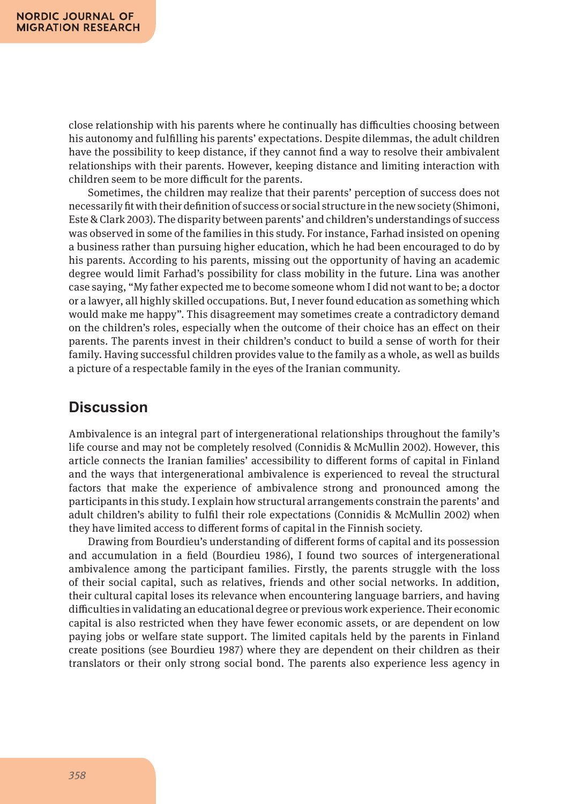close relationship with his parents where he continually has difficulties choosing between his autonomy and fulfilling his parents' expectations. Despite dilemmas, the adult children have the possibility to keep distance, if they cannot find a way to resolve their ambivalent relationships with their parents. However, keeping distance and limiting interaction with children seem to be more difficult for the parents.

Sometimes, the children may realize that their parents' perception of success does not necessarily fit with their definition of success or social structure in the new society (Shimoni, Este & Clark 2003). The disparity between parents' and children's understandings of success was observed in some of the families in this study. For instance, Farhad insisted on opening a business rather than pursuing higher education, which he had been encouraged to do by his parents. According to his parents, missing out the opportunity of having an academic degree would limit Farhad's possibility for class mobility in the future. Lina was another case saying, "My father expected me to become someone whom I did not want to be; a doctor or a lawyer, all highly skilled occupations. But, I never found education as something which would make me happy". This disagreement may sometimes create a contradictory demand on the children's roles, especially when the outcome of their choice has an effect on their parents. The parents invest in their children's conduct to build a sense of worth for their family. Having successful children provides value to the family as a whole, as well as builds a picture of a respectable family in the eyes of the Iranian community.

### **Discussion**

Ambivalence is an integral part of intergenerational relationships throughout the family's life course and may not be completely resolved (Connidis & McMullin 2002). However, this article connects the Iranian families' accessibility to different forms of capital in Finland and the ways that intergenerational ambivalence is experienced to reveal the structural factors that make the experience of ambivalence strong and pronounced among the participants in this study. I explain how structural arrangements constrain the parents' and adult children's ability to fulfil their role expectations (Connidis & McMullin 2002) when they have limited access to different forms of capital in the Finnish society.

Drawing from Bourdieu's understanding of different forms of capital and its possession and accumulation in a field (Bourdieu 1986), I found two sources of intergenerational ambivalence among the participant families. Firstly, the parents struggle with the loss of their social capital, such as relatives, friends and other social networks. In addition, their cultural capital loses its relevance when encountering language barriers, and having difficulties in validating an educational degree or previous work experience. Their economic capital is also restricted when they have fewer economic assets, or are dependent on low paying jobs or welfare state support. The limited capitals held by the parents in Finland create positions (see Bourdieu 1987) where they are dependent on their children as their translators or their only strong social bond. The parents also experience less agency in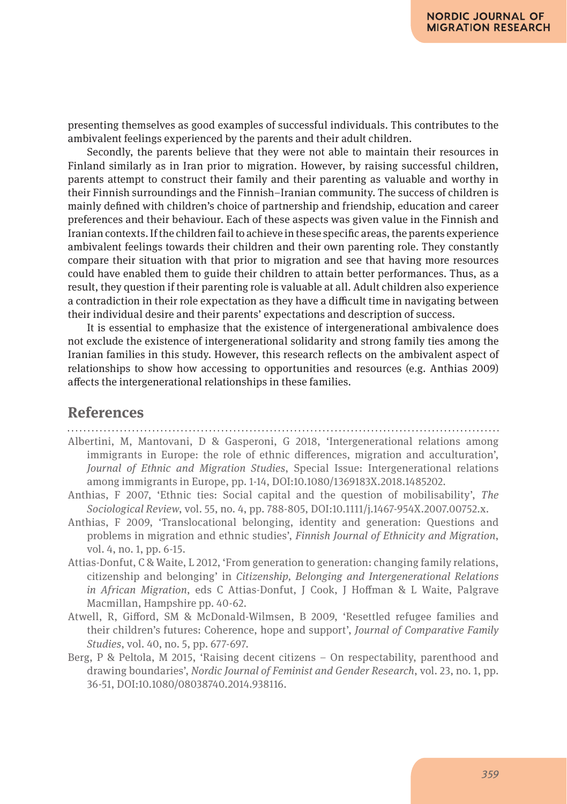presenting themselves as good examples of successful individuals. This contributes to the ambivalent feelings experienced by the parents and their adult children.

Secondly, the parents believe that they were not able to maintain their resources in Finland similarly as in Iran prior to migration. However, by raising successful children, parents attempt to construct their family and their parenting as valuable and worthy in their Finnish surroundings and the Finnish–Iranian community. The success of children is mainly defined with children's choice of partnership and friendship, education and career preferences and their behaviour. Each of these aspects was given value in the Finnish and Iranian contexts. If the children fail to achieve in these specific areas, the parents experience ambivalent feelings towards their children and their own parenting role. They constantly compare their situation with that prior to migration and see that having more resources could have enabled them to guide their children to attain better performances. Thus, as a result, they question if their parenting role is valuable at all. Adult children also experience a contradiction in their role expectation as they have a difficult time in navigating between their individual desire and their parents' expectations and description of success.

It is essential to emphasize that the existence of intergenerational ambivalence does not exclude the existence of intergenerational solidarity and strong family ties among the Iranian families in this study. However, this research reflects on the ambivalent aspect of relationships to show how accessing to opportunities and resources (e.g. Anthias 2009) affects the intergenerational relationships in these families.

### **References**

- Albertini, M, Mantovani, D & Gasperoni, G 2018, 'Intergenerational relations among immigrants in Europe: the role of ethnic differences, migration and acculturation', *Journal of Ethnic and Migration Studies*, Special Issue: Intergenerational relations among immigrants in Europe, pp. 1-14, DOI:10.1080/1369183X.2018.1485202.
- Anthias, F 2007, 'Ethnic ties: Social capital and the question of mobilisability', *The Sociological Review*, vol. 55, no. 4, pp. 788-805, DOI:10.1111/j.1467-954X.2007.00752.x.
- Anthias, F 2009, 'Translocational belonging, identity and generation: Questions and problems in migration and ethnic studies', *Finnish Journal of Ethnicity and Migration*, vol. 4, no. 1, pp. 6-15.
- Attias-Donfut, C & Waite, L 2012, 'From generation to generation: changing family relations, citizenship and belonging' in *Citizenship, Belonging and Intergenerational Relations in African Migration*, eds C Attias-Donfut, J Cook, J Hoffman & L Waite, Palgrave Macmillan, Hampshire pp. 40-62.
- Atwell, R, Gifford, SM & McDonald-Wilmsen, B 2009, 'Resettled refugee families and their children's futures: Coherence, hope and support', *Journal of Comparative Family Studies*, vol. 40, no. 5, pp. 677-697.
- Berg, P & Peltola, M 2015, 'Raising decent citizens On respectability, parenthood and drawing boundaries', *Nordic Journal of Feminist and Gender Research*, vol. 23, no. 1, pp. 36-51, DOI:10.1080/08038740.2014.938116.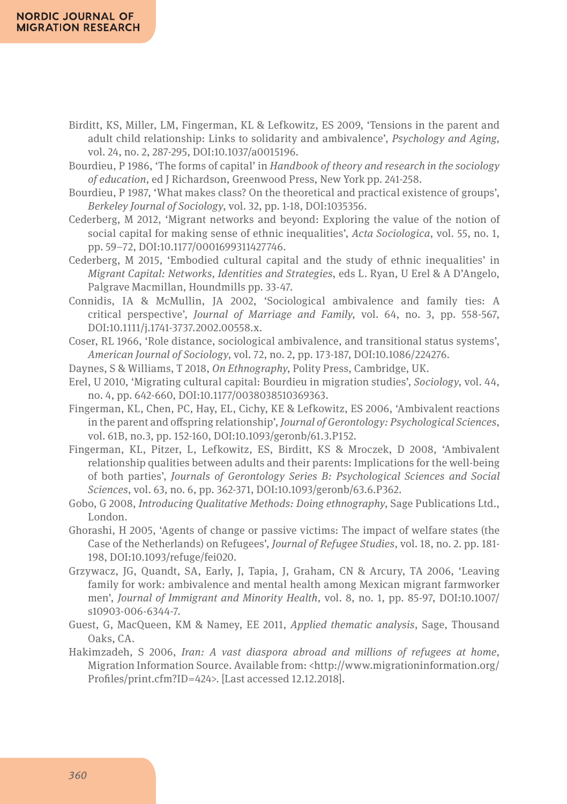- Birditt, KS, Miller, LM, Fingerman, KL & Lefkowitz, ES 2009, 'Tensions in the parent and adult child relationship: Links to solidarity and ambivalence', *Psychology and Aging*, vol. 24, no. 2, 287-295, DOI:10.1037/a0015196.
- Bourdieu, P 1986, 'The forms of capital' in *Handbook of theory and research in the sociology of education*, ed J Richardson, Greenwood Press, New York pp. 241-258.
- Bourdieu, P 1987, 'What makes class? On the theoretical and practical existence of groups', *Berkeley Journal of Sociology*, vol. 32, pp. 1-18, DOI:1035356.
- Cederberg, M 2012, 'Migrant networks and beyond: Exploring the value of the notion of social capital for making sense of ethnic inequalities', *Acta Sociologica*, vol. 55, no. 1, pp. 59–72, DOI:10.1177/0001699311427746.
- Cederberg, M 2015, 'Embodied cultural capital and the study of ethnic inequalities' in *Migrant Capital: Networks, Identities and Strategies*, eds L. Ryan, U Erel & A D'Angelo, Palgrave Macmillan, Houndmills pp. 33-47.
- Connidis, IA & McMullin, JA 2002, 'Sociological ambivalence and family ties: A critical perspective', *Journal of Marriage and Family*, vol. 64, no. 3, pp. 558-567, DOI:10.1111/j.1741-3737.2002.00558.x.
- Coser, RL 1966, 'Role distance, sociological ambivalence, and transitional status systems', *American Journal of Sociology*, vol. 72, no. 2, pp. 173-187, DOI:10.1086/224276.
- Daynes, S & Williams, T 2018, *On Ethnography*, Polity Press, Cambridge, UK.
- Erel, U 2010, 'Migrating cultural capital: Bourdieu in migration studies', *Sociology*, vol. 44, no. 4, pp. 642-660, DOI:10.1177/0038038510369363.
- Fingerman, KL, Chen, PC, Hay, EL, Cichy, KE & Lefkowitz, ES 2006, 'Ambivalent reactions in the parent and offspring relationship', *Journal of Gerontology: Psychological Sciences*, vol. 61B, no.3, pp. 152-160, DOI:10.1093/geronb/61.3.P152.
- Fingerman, KL, Pitzer, L, Lefkowitz, ES, Birditt, KS & Mroczek, D 2008, 'Ambivalent relationship qualities between adults and their parents: Implications for the well-being of both parties', *Journals of Gerontology Series B: Psychological Sciences and Social Sciences*, vol. 63, no. 6, pp. 362-371, DOI:10.1093/geronb/63.6.P362.
- Gobo, G 2008, *Introducing Qualitative Methods: Doing ethnography*, Sage Publications Ltd., London.
- Ghorashi, H 2005, 'Agents of change or passive victims: The impact of welfare states (the Case of the Netherlands) on Refugees', *Journal of Refugee Studies*, vol. 18, no. 2. pp. 181- 198, DOI:10.1093/refuge/fei020.
- Grzywacz, JG, Quandt, SA, Early, J, Tapia, J, Graham, CN & Arcury, TA 2006, 'Leaving family for work: ambivalence and mental health among Mexican migrant farmworker men', *Journal of Immigrant and Minority Health*, vol. 8, no. 1, pp. 85-97, DOI:10.1007/ s10903-006-6344-7.
- Guest, G, MacQueen, KM & Namey, EE 2011, *Applied thematic analysis*, Sage, Thousand Oaks, CA.
- Hakimzadeh, S 2006, *Iran: A vast diaspora abroad and millions of refugees at home*, Migration Information Source. Available from: <http://www.migrationinformation.org/ Profiles/print.cfm?ID=424>. [Last accessed 12.12.2018].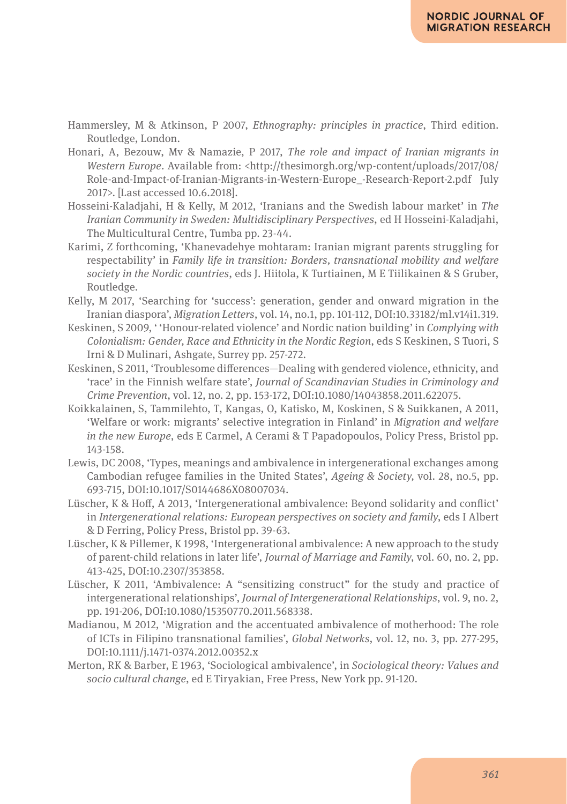- Hammersley, M & Atkinson, P 2007, *Ethnography: principles in practice*, Third edition. Routledge, London.
- Honari, A, Bezouw, Mv & Namazie, P 2017, *The role and impact of Iranian migrants in Western Europe*. Available from: <http://thesimorgh.org/wp-content/uploads/2017/08/ Role-and-Impact-of-Iranian-Migrants-in-Western-Europe\_-Research-Report-2.pdf July 2017>. [Last accessed 10.6.2018].
- Hosseini-Kaladjahi, H & Kelly, M 2012, 'Iranians and the Swedish labour market' in *The Iranian Community in Sweden: Multidisciplinary Perspectives*, ed H Hosseini-Kaladjahi, The Multicultural Centre, Tumba pp. 23-44.
- Karimi, Z forthcoming, 'Khanevadehye mohtaram: Iranian migrant parents struggling for respectability' in *Family life in transition: Borders, transnational mobility and welfare society in the Nordic countries*, eds J. Hiitola, K Turtiainen, M E Tiilikainen & S Gruber, Routledge.
- Kelly, M 2017, 'Searching for 'success': generation, gender and onward migration in the Iranian diaspora', *Migration Letters*, vol. 14, no.1, pp. 101-112, DOI:10.33182/ml.v14i1.319.
- Keskinen, S 2009, ' 'Honour-related violence' and Nordic nation building' in *Complying with Colonialism: Gender, Race and Ethnicity in the Nordic Region*, eds S Keskinen, S Tuori, S Irni & D Mulinari, Ashgate, Surrey pp. 257-272.
- Keskinen, S 2011, 'Troublesome differences—Dealing with gendered violence, ethnicity, and 'race' in the Finnish welfare state', *Journal of Scandinavian Studies in Criminology and Crime Prevention*, vol. 12, no. 2, pp. 153-172, DOI:10.1080/14043858.2011.622075.
- Koikkalainen, S, Tammilehto, T, Kangas, O, Katisko, M, Koskinen, S & Suikkanen, A 2011, 'Welfare or work: migrants' selective integration in Finland' in *Migration and welfare in the new Europe*, eds E Carmel, A Cerami & T Papadopoulos, Policy Press, Bristol pp. 143-158.
- Lewis, DC 2008, 'Types, meanings and ambivalence in intergenerational exchanges among Cambodian refugee families in the United States', *Ageing & Society,* vol. 28, no.5, pp. 693-715, DOI:10.1017/S0144686X08007034.
- Lüscher, K & Hoff, A 2013, 'Intergenerational ambivalence: Beyond solidarity and conflict' in *Intergenerational relations: European perspectives on society and family*, eds I Albert & D Ferring, Policy Press, Bristol pp. 39-63.
- Lüscher, K & Pillemer, K 1998, 'Intergenerational ambivalence: A new approach to the study of parent-child relations in later life', *Journal of Marriage and Family*, vol. 60, no. 2, pp. 413-425, DOI:10.2307/353858.
- Lüscher, K 2011, 'Ambivalence: A "sensitizing construct" for the study and practice of intergenerational relationships', *Journal of Intergenerational Relationships*, vol. 9, no. 2, pp. 191-206, DOI:10.1080/15350770.2011.568338.
- Madianou, M 2012, 'Migration and the accentuated ambivalence of motherhood: The role of ICTs in Filipino transnational families', *Global Networks*, vol. 12, no. 3, pp. 277-295, DOI:10.1111/j.1471-0374.2012.00352.x
- Merton, RK & Barber, E 1963, 'Sociological ambivalence', in *Sociological theory: Values and socio cultural change*, ed E Tiryakian, Free Press, New York pp. 91-120.